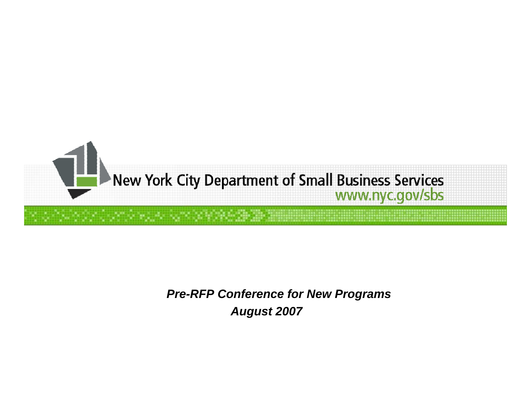

#### *Pre-RFP Conference for New Programs August 2007*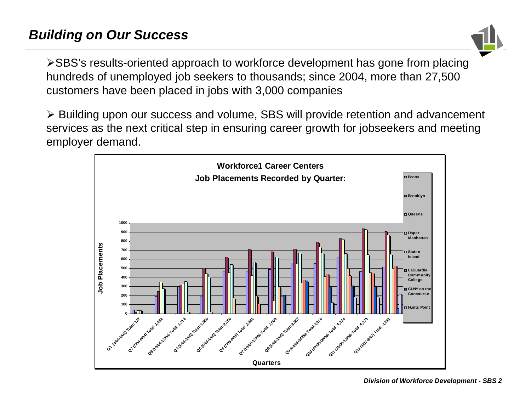

¾SBS's results-oriented approach to workforce development has gone from placing hundreds of unemployed job seekers to thousands; since 2004, more than 27,500 customers have been placed in jobs with 3,000 companies

¾ Building upon our success and volume, SBS will provide retention and advancement services as the next critical step in ensuring career growth for jobseekers and meeting employer demand.

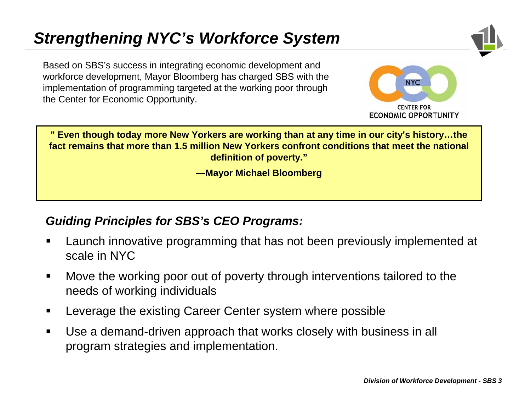#### *Strengthening NYC's Workforce System*

Based on SBS's success in integrating economic development and workforce development, Mayor Bloomberg has charged SBS with the implementation of programming targeted at the working poor through the Center for Economic Opportunity.



" Even though today more New Yorkers are working than at any time in our city's history…the **fact remains that more than 1.5 million New Yorkers confront conditions that meet the national definition of poverty."**

**—Mayor Michael Bloomberg**

#### *Guiding Principles for SBS's CEO Programs:*

- Launch innovative programming that has not been previously implemented at scale in NYC
- $\blacksquare$  Move the working poor out of poverty through interventions tailored to the needs of working individuals
- Leverage the existing Career Center system where possible
- $\blacksquare$  Use a demand-driven approach that works closely with business in all program strategies and implementation.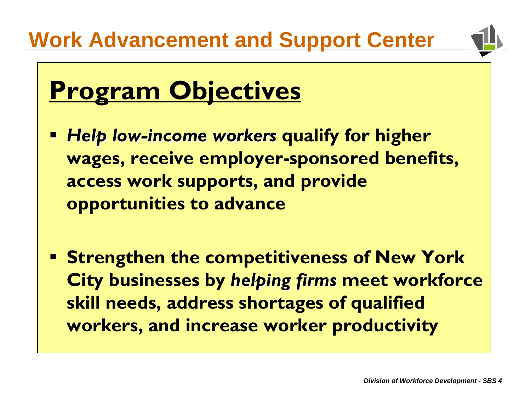

### **Program Objectives**

- *Help low Help low-income workers income workers* **quali fy for higher wages, receive employer-sponsored benefits, access work supports, and provide opportunities to advance**
- **Strengthen the competitiveness of New York City businesses by** *helping firms helping firms* **meet workforce skill needs, address shortages of qualified workers, and increase worker productivity**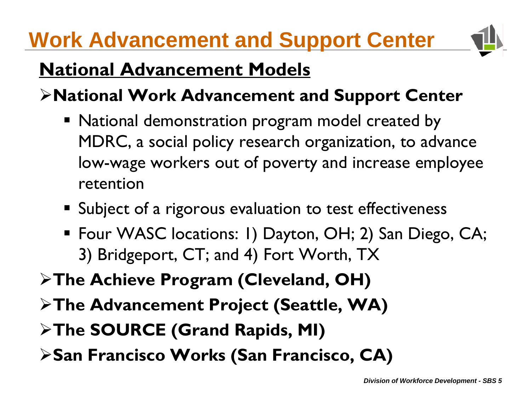#### **Work Advancement and Support Center**



#### **National Advancement Models**

- ¾**National Work Advancement and Support Center**
	- National demonstration program model created by MDRC, a social policy research organization, to advance low-wage workers out of poverty and increase employee retention
	- **Subject of a rigorous evaluation to test effectiveness**
	- Four WASC locations: 1) Dayton, OH; 2) San Diego, CA; 3) Bridgeport, CT; and 4) Fort Worth, TX
- ¾**The Achieve Program (Cleveland, OH)**
- ¾**The Advancement Project (Seattle, WA)**
- ¾**The SOURCE (Grand Rapids, MI)**
- ¾**San Francisco Works (San Francisco, CA)**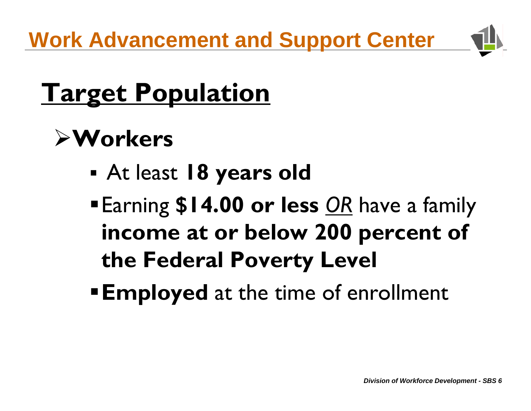**Work Advancement and Support Center**



### **Target Population**

### ¾**Workers**

- At least **18 years old**
- Earning **\$14.00 or less** *OR* have a family **income at or below 200 percent of the Federal Poverty Level**
- **Employed** at the time of enrollment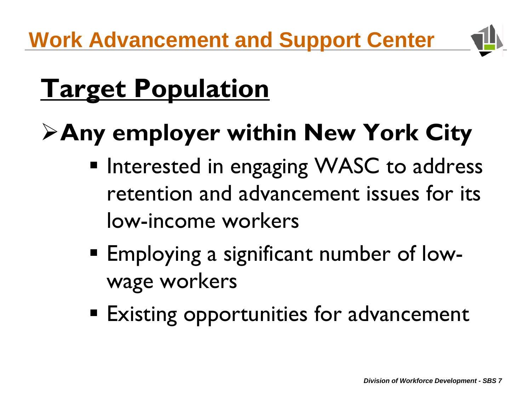

### **Target Population**

### ¾**Any employer within New York City**

- **Interested in engaging WASC to address** retention and advancement issues for its low-income workers
- Employing a significant number of lowwage workers
- **Existing opportunities for advancement**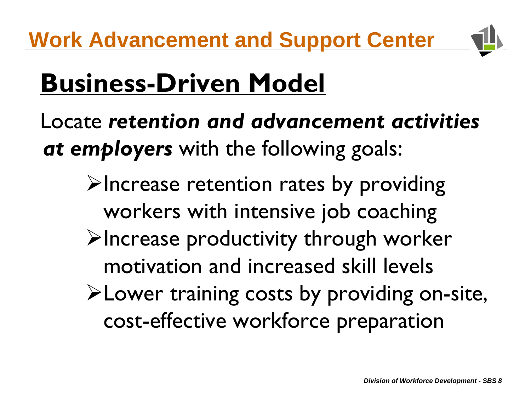

# **Business-Driven Model**

Locate *retention and advancement activities at employers* with the following goals:

- $\blacktriangleright$ Increase retention rates by providing workers with intensive job coaching
- $\blacktriangleright$ Increase productivity through worker motivation and increased skill levels
- ¾Lower training costs by providing on-site, cost-effective workforce preparation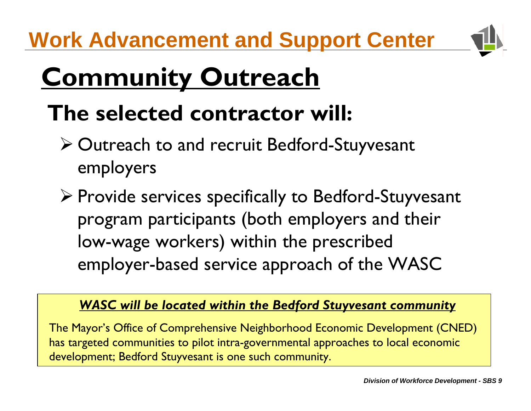**Work Advancement and Support Center**



# **Community Outreach**

#### **The selected contractor will :**

- ¾ Outreach to and recruit Bedford-Stuyvesant employers
- ¾ Provide services specifically to Bedford-Stuyvesant program participants (both employers and their low-wage workers) within the prescribed employer-based service approach of the WASC

#### *WASC will be located within the Bedford Stuyvesant community*

The Mayor's Office of Comprehensive Neighborhood Economic Development (CNED) has targeted communities to pilot intra-governmental approac hes to loc al economic development; Bedford Stuyvesant is one such community.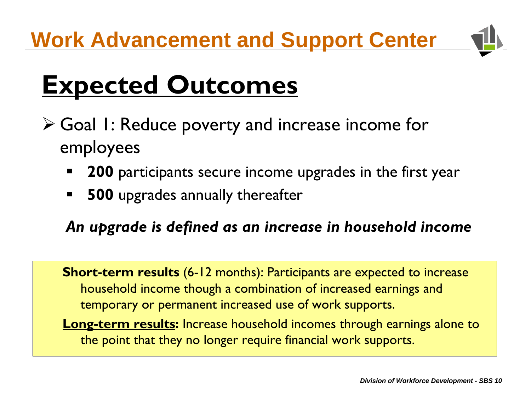

### **Expected Outcomes**

- ¾ Goal 1: Reduce poverty and increase income for employees
	- E **200** participants secure income upgrades in the first year
	- $\blacksquare$ **500** upgrades annually thereafter

*An upgrade is defined as an increase in household income*

**Short-term results** (6-12 months): Participants are expected to increase household income though a combination of increased earnings and temporary or permanent increased use of work supports.

**Long-term results:** Increase household incomes through earnings alone to the point that they no longer require financial work supports.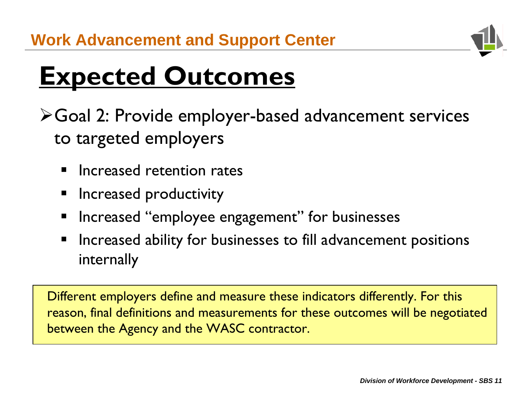

# **Expected Outcomes**

- ¾Goal 2: Provide employer-based advancement services to targeted employers
	- Increased retention rates
	- Increased productivity
	- Increased "employee engagement" for businesses
	- Increased ability for businesses to fill advancement positions internally

Different employers define and measure these indicators differently. For this reason, final definitions and measurements for these outcomes will be negotiated between the Agency and the WASC contractor.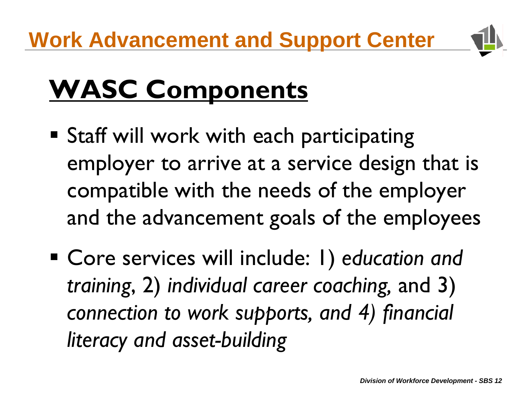

# **WASC Components**

- **Staff will work with each participating** employer to arrive at a service design that is compatible with the needs of the employer and the advancement goals of the employees
- Core services will include: 1) *education and training*, 2) *individual career coaching,* and 3) *connection to work supports, and 4) financial literacy and asset-building*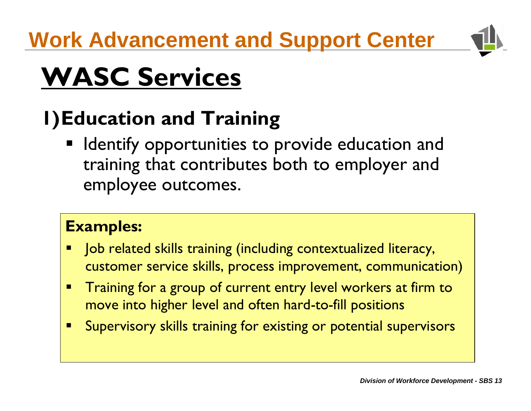

# **WASC Services**

#### **1)Education and Training**

**If Identify opportunities to provide education and Interty** training that contributes both to employer and employee outcomes.

#### **Examples:**

- L Job related skills training (including contextualized literacy, customer service skills, process improvement, communication)
- $\blacksquare$  Training for a group of current entry level workers at firm to move into higher level and often hard-to-fill positions
- $\blacksquare$ Supervisory skills training for existing or potential supervisors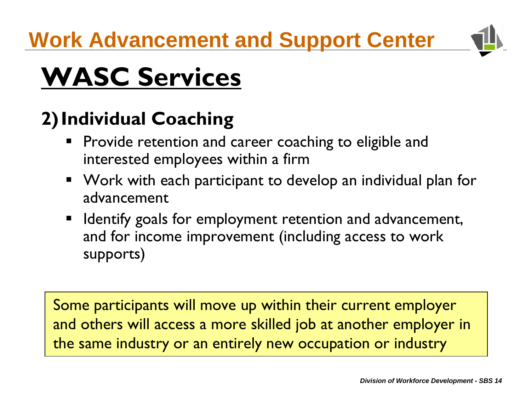

# **WASC Services**

#### **2)Individual Coaching**

- **Provide retention and career coaching to eligible and** interested employees within a firm
- Work with each participant to develop an individual plan for advancement
- **If Identify goals for employment retention and advancement,** and for income improvement (including access to work supports)

Some participants will move up within their current employer and others will access a more skilled job at another employer in the same industry or an entirely new occupation or industry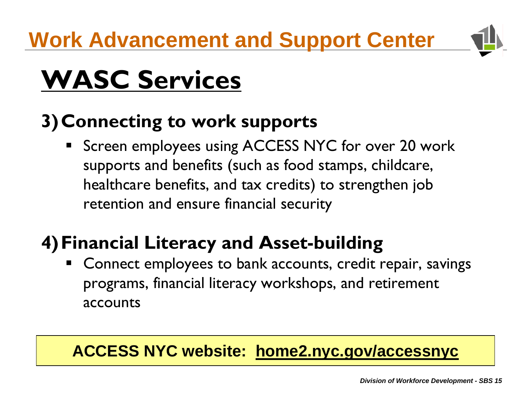

# **WASC Services**

#### **3)Connecting to work supports**

**Screen employees using ACCESS NYC for over 20 work** supports and benefits (such as food stamps, childcare, healthcare benefits, and tax credits) to strengthen job retention and ensure financial security

#### **4)Financial Literacy and Asset-building**

 Connect employees to bank accounts, credit repair, savings programs, financial literacy workshops, and retirement accounts

#### **ACCESS NYC website: home2.nyc.gov/accessnyc**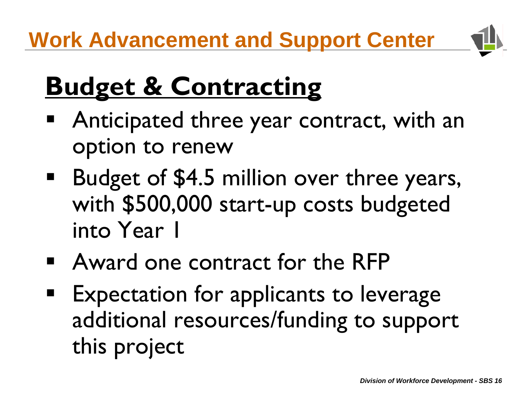

# **Budget & Contracting**

- Anticipated three year contract, with an option to renew
- **Budget of \$4.5 million over three years,** with \$500,000 start-up costs budgeted into Year 1
- Award one contract for the RFP
- Expectation for applicants to leverage additional resources/funding to support this project